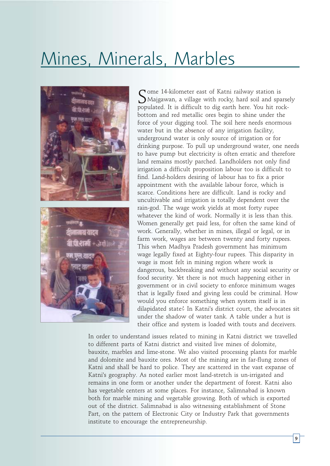## Mines, Minerals, Marbles

Some 14-kilometer east of Katni railway station is<br>SMajgawan, a village with rocky, hard soil and sparsely populated. It is difficult to dig earth here. You hit rockbottom and red metallic ores begin to shine under the force of your digging tool. The soil here needs enormous water but in the absence of any irrigation facility, underground water is only source of irrigation or for drinking purpose. To pull up underground water, one needs to have pump but electricity is often erratic and therefore land remains mostly parched. Landholders not only find irrigation a difficult proposition labour too is difficult to find. Land-holders desiring of labour has to fix a prior appointment with the available labour force, which is scarce. Conditions here are difficult. Land is rocky and uncultivable and irrigation is totally dependent over the rain-god. The wage work yields at most forty rupee whatever the kind of work. Normally it is less than this. Women generally get paid less, for often the same kind of work. Generally, whether in mines, illegal or legal, or in farm work, wages are between twenty and forty rupees. This when Madhya Pradesh government has minimum wage legally fixed at Eighty-four rupees. This disparity in wage is most felt in mining region where work is dangerous, backbreaking and without any social security or food security. Yet there is not much happening either in government or in civil society to enforce minimum wages that is legally fixed and giving less could be criminal. How would you enforce something when system itself is in dilapidated state? In Katni's district court, the advocates sit under the shadow of water tank. A table under a hut is their office and system is loaded with touts and deceivers.

In order to understand issues related to mining in Katni district we travelled to different parts of Katni district and visited live mines of dolomite, bauxite, marbles and lime-stone. We also visited processing plants for marble and dolomite and bauxite ores. Most of the mining are in far-flung zones of Katni and shall be hard to police. They are scattered in the vast expanse of Katni's geography. As noted earlier most land-stretch is un-irrigated and remains in one form or another under the department of forest. Katni also has vegetable centers at some places. For instance, Salimnabad is known both for marble mining and vegetable growing. Both of which is exported out of the district. Salimnabad is also witnessing establishment of Stone Part, on the pattern of Electronic City or Industry Park that governments institute to encourage the entrepreneurship.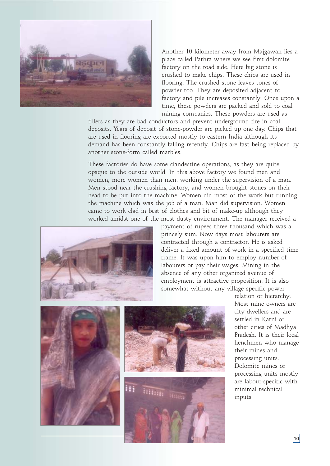

Another 10 kilometer away from Majgawan lies a place called Pathra where we see first dolomite factory on the road side. Here big stone is crushed to make chips. These chips are used in flooring. The crushed stone leaves tones of powder too. They are deposited adjacent to factory and pile increases constantly. Once upon a time, these powders are packed and sold to coal mining companies. These powders are used as

fillers as they are bad conductors and prevent underground fire in coal deposits. Years of deposit of stone-powder are picked up one day. Chips that are used in flooring are exported mostly to eastern India although its demand has been constantly falling recently. Chips are fast being replaced by another stone-form called marbles.

These factories do have some clandestine operations, as they are quite opaque to the outside world. In this above factory we found men and women, more women than men, working under the supervision of a man. Men stood near the crushing factory, and women brought stones on their head to be put into the machine. Women did most of the work but running the machine which was the job of a man. Man did supervision. Women came to work clad in best of clothes and bit of make-up although they worked amidst one of the most dusty environment. The manager received a



payment of rupees three thousand which was a princely sum. Now days most labourers are contracted through a contractor. He is asked deliver a fixed amount of work in a specified time frame. It was upon him to employ number of labourers or pay their wages. Mining in the absence of any other organized avenue of employment is attractive proposition. It is also somewhat without any village specific power-



relation or hierarchy. Most mine owners are city dwellers and are settled in Katni or other cities of Madhya Pradesh. It is their local henchmen who manage their mines and processing units. Dolomite mines or processing units mostly are labour-specific with minimal technical inputs.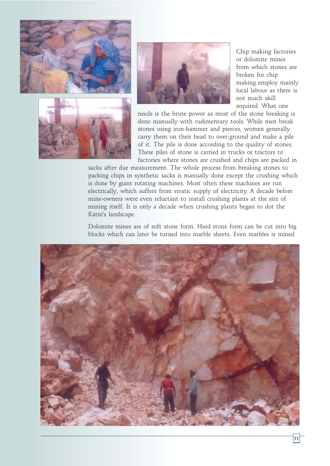





Chip making factories or dolomite mines from which stones are broken for chip making employ mainly local labour as there is not much skill required. What one

needs is the brute power as most of the stone breaking is done manually with rudimentary tools. While men break stones using iron-hammer and pierces, women generally carry them on their head to over-ground and make a pile of it. The pile is done according to the quality of stones. These piles of stone is carried in trucks or tractors to factories where stones are crushed and chips are packed in

sacks after due measurement. The whole process from breaking stones to packing chips in synthetic sacks is manually done except the crushing which is done by giant rotating machines. Most often these machines are run electrically, which suffers from erratic supply of electricity. A decade before mine-owners were even reluctant to install crushing plants at the site of mining itself. It is only a decade when crushing plants began to dot the Katni's landscape.

Dolomite mines are of soft stone form. Hard stone form can be cut into big blocks which can later be turned into marble sheets. Even marbles is mined

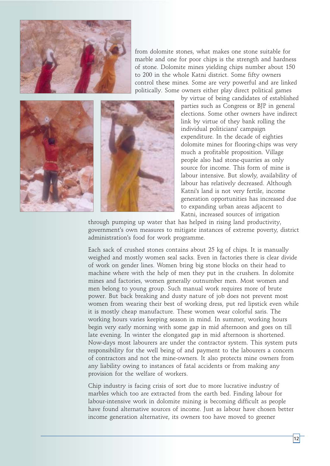

from dolomite stones, what makes one stone suitable for marble and one for poor chips is the strength and hardness of stone. Dolomite mines yielding chips number about 150 to 200 in the whole Katni district. Some fifty owners control these mines. Some are very powerful and are linked politically. Some owners either play direct political games



by virtue of being candidates of established parties such as Congress or BJP in general elections. Some other owners have indirect link by virtue of they bank rolling the individual politicians' campaign expenditure. In the decade of eighties dolomite mines for flooring-chips was very much a profitable proposition. Village people also had stone-quarries as only source for income. This form of mine is labour intensive. But slowly, availability of labour has relatively decreased. Although Katni's land is not very fertile, income generation opportunities has increased due to expanding urban areas adjacent to Katni, increased sources of irrigation

through pumping up water that has helped in rising land productivity, government's own measures to mitigate instances of extreme poverty, district administration's food for work programme.

Each sack of crushed stones contains about 25 kg of chips. It is manually weighed and mostly women seal sacks. Even in factories there is clear divide of work on gender lines. Women bring big stone blocks on their head to machine where with the help of men they put in the crushers. In dolomite mines and factories, women generally outnumber men. Most women and men belong to young group. Such manual work requires more of brute power. But back breaking and dusty nature of job does not prevent most women from wearing their best of working dress, put red lipstick even while it is mostly cheap manufacture. These women wear colorful saris. The working hours varies keeping season in mind. In summer, working hours begin very early morning with some gap in mid afternoon and goes on till late evening. In winter the elongated gap in mid afternoon is shortened. Now-days most labourers are under the contractor system. This system puts responsibility for the well being of and payment to the labourers a concern of contractors and not the mine-owners. It also protects mine owners from any liability owing to instances of fatal accidents or from making any provision for the welfare of workers.

Chip industry is facing crisis of sort due to more lucrative industry of marbles which too are extracted from the earth bed. Finding labour for labour-intensive work in dolomite mining is becoming difficult as people have found alternative sources of income. Just as labour have chosen better income generation alternative, its owners too have moved to greener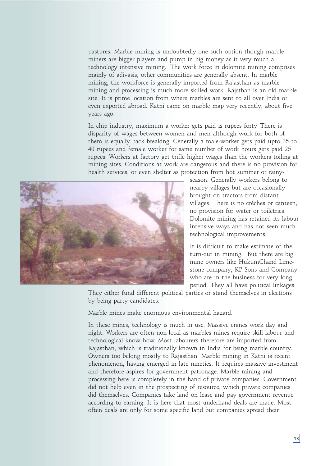pastures. Marble mining is undoubtedly one such option though marble miners are bigger players and pump in big money as it very much a technology intensive mining. The work force in dolomite mining comprises mainly of adivasis, other communities are generally absent. In marble mining, the workforce is generally imported from Rajasthan as marble mining and processing is much more skilled work. Rajsthan is an old marble site. It is prime location from where marbles are sent to all over India or even exported abroad. Katni came on marble map very recently, about five years ago.

In chip industry, maximum a worker gets paid is rupees forty. There is disparity of wages between women and men although work for both of them is equally back breaking. Generally a male-worker gets paid upto 35 to 40 rupees and female worker for same number of work hours gets paid 25 rupees. Workers at factory get trifle higher wages than the workers toiling at mining sites. Conditions at work are dangerous and there is no provision for health services, or even shelter as protection from hot summer or rainy-



season. Generally workers belong to nearby villages but are occasionally brought on tractors from distant villages. There is no crèches or canteen, no provision for water or toiletries. Dolomite mining has retained its labour intensive ways and has not seen much technological improvements.

It is difficult to make estimate of the turn-out in mining. But there are big mine owners like HukumChand Limestone company, KP Sons and Company who are in the business for very long period. They all have political linkages.

They either fund different political parties or stand themselves in elections by being party candidates.

Marble mines make enormous environmental hazard.

In these mines, technology is much in use. Massive cranes work day and night. Workers are often non-local as marbles mines require skill labour and technological know how. Most labourers therefore are imported from Rajasthan, which is traditionally known in India for being marble country. Owners too belong mostly to Rajasthan. Marble mining in Katni is recent phenomenon, having emerged in late nineties. It requires massive investment and therefore aspires for government patronage. Marble mining and processing here is completely in the hand of private companies. Government did not help even in the prospecting of resource, which private companies did themselves. Companies take land on lease and pay government revenue according to earning. It is here that most underhand deals are made. Most often deals are only for some specific land but companies spread their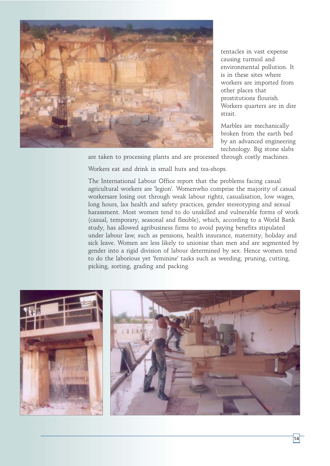

tentacles in vast expense causing turmoil and environmental pollution. It is in these sites where workers are imported from other places that prostitutions flourish. Workers quarters are in dire strait.

Marbles are mechanically broken from the earth bed by an advanced engineering technology. Big stone slabs

are taken to processing plants and are processed through costly machines.

Workers eat and drink in small huts and tea-shops.

The International Labour Office report that the problems facing casual agricultural workers are 'legion'. Womenwho comprise the majority of casual workersare losing out through weak labour rights, casualisation, low wages, long hours, lax health and safety practices, gender stereotyping and sexual harassment. Most women tend to do unskilled and vulnerable forms of work (casual, temporary, seasonal and flexible), which, according to a World Bank study, has allowed agribusiness firms to avoid paying benefits stipulated under labour law, such as pensions, health insurance, maternity, holiday and sick leave. Women are less likely to unionise than men and are segmented by gender into a rigid division of labour determined by sex. Hence women tend to do the laborious yet 'feminine' tasks such as weeding, pruning, cutting, picking, sorting, grading and packing.

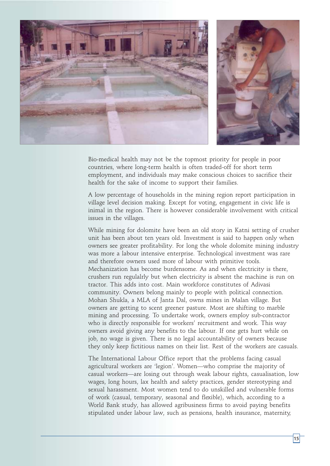

Bio-medical health may not be the topmost priority for people in poor countries, where long-term health is often traded-off for short term employment, and individuals may make conscious choices to sacrifice their health for the sake of income to support their families.

A low percentage of households in the mining region report participation in village level decision making. Except for voting, engagement in civic life is inimal in the region. There is however considerable involvement with critical issues in the villages.

While mining for dolomite have been an old story in Katni setting of crusher unit has been about ten years old. Investment is said to happen only when owners see greater profitability. For long the whole dolomite mining industry was more a labour intensive enterprise. Technological investment was rare and therefore owners used more of labour with primitive tools. Mechanization has become burdensome. As and when electricity is there, crushers run regulalrly but when electricity is absent the machine is run on tractor. This adds into cost. Main workforce constitutes of Adivasi community. Owners belong mainly to people with political connection. Mohan Shukla, a MLA of Janta Dal, owns mines in Malan village. But owners are getting to scent greener pasture. Most are shifting to marble mining and processing. To undertake work, owners employ sub-contractor who is directly responsible for workers' recruitment and work. This way owners avoid giving any benefits to the labour. If one gets hurt while on job, no wage is given. There is no legal accountability of owners because they only keep fictitious names on their list. Rest of the workers are casuals.

The International Labour Office report that the problems facing casual agricultural workers are 'legion'. Women—who comprise the majority of casual workers—are losing out through weak labour rights, casualisation, low wages, long hours, lax health and safety practices, gender stereotyping and sexual harassment. Most women tend to do unskilled and vulnerable forms of work (casual, temporary, seasonal and flexible), which, according to a World Bank study, has allowed agribusiness firms to avoid paying benefits stipulated under labour law, such as pensions, health insurance, maternity,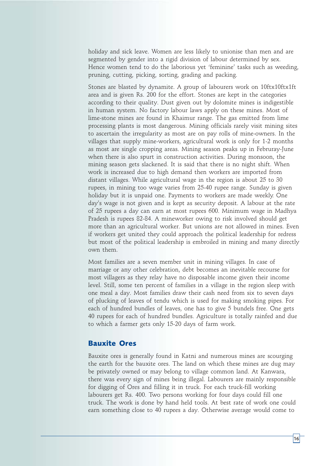holiday and sick leave. Women are less likely to unionise than men and are segmented by gender into a rigid division of labour determined by sex. Hence women tend to do the laborious yet 'feminine' tasks such as weeding, pruning, cutting, picking, sorting, grading and packing.

Stones are blasted by dynamite. A group of labourers work on 10ftx10ftx1ft area and is given Rs. 200 for the effort. Stones are kept in the categories according to their quality. Dust given out by dolomite mines is indigestible in human system. No factory labour laws apply on these mines. Most of lime-stone mines are found in Khaimur range. The gas emitted from lime processing plants is most dangerous. Mining officials rarely visit mining sites to ascertain the irregularity as most are on pay rolls of mine-owners. In the villages that supply mine-workers, agricultural work is only for 1-2 months as most are single cropping areas. Mining season peaks up in Februray-June when there is also spurt in construction activities. During monsoon, the mining season gets slackened. It is said that there is no night shift. When work is increased due to high demand then workers are imported from distant villages. While agricultural wage in the region is about 25 to 30 rupees, in mining too wage varies from 25-40 rupee range. Sunday is given holiday but it is unpaid one. Payments to workers are made weekly. One day's wage is not given and is kept as security deposit. A labour at the rate of 25 rupees a day can earn at most rupees 600. Minimum wage in Madhya Pradesh is rupees 82-84. A mineworker owing to risk involved should get more than an agricultural worker. But unions are not allowed in mines. Even if workers get united they could approach the political leadership for redress but most of the political leadership is embroiled in mining and many directly own them.

Most families are a seven member unit in mining villages. In case of marriage or any other celebration, debt becomes an inevitable recourse for most villagers as they relay have no disposable income given their income level. Still, some ten percent of families in a village in the region sleep with one meal a day. Most families draw their cash need from six to seven days of plucking of leaves of tendu which is used for making smoking pipes. For each of hundred bundles of leaves, one has to give 5 bundels free. One gets 40 rupees for each of hundred bundles. Agriculture is totally rainfed and due to which a farmer gets only 15-20 days of farm work.

## **Bauxite Ores**

Bauxite ores is generally found in Katni and numerous mines are scourging the earth for the bauxite ores. The land on which these mines are dug may be privately owned or may belong to village common land. At Kanwara, there was every sign of mines being illegal. Labourers are mainly responsible for digging of Ores and filling it in truck. For each truck-fill working labourers get Rs. 400. Two persons working for four days could fill one truck. The work is done by hand held tools. At best rate of work one could earn something close to 40 rupees a day. Otherwise average would come to